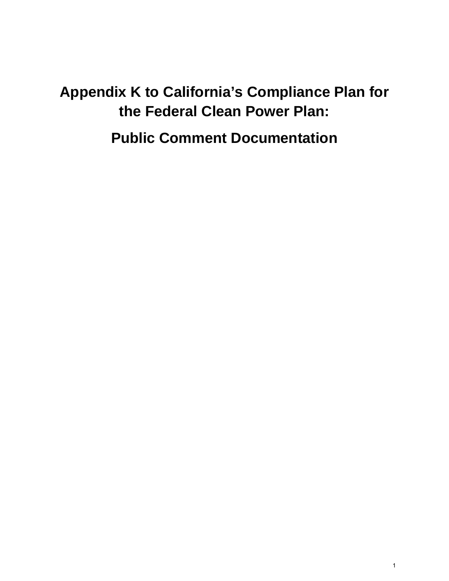# **Appendix K to California's Compliance Plan for the Federal Clean Power Plan:**

**Public Comment Documentation**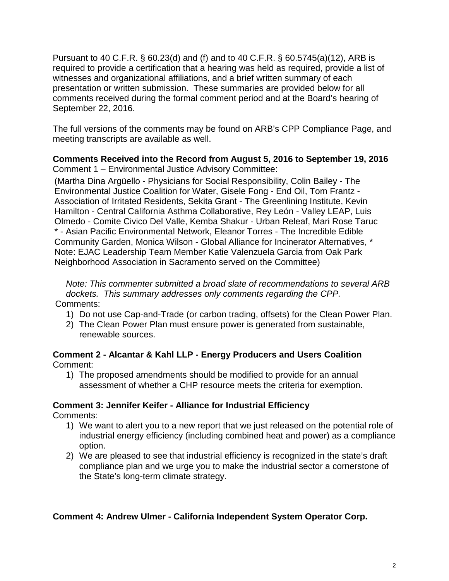Pursuant to 40 C.F.R. § 60.23(d) and (f) and to 40 C.F.R. § 60.5745(a)(12), ARB is required to provide a certification that a hearing was held as required, provide a list of witnesses and organizational affiliations, and a brief written summary of each presentation or written submission. These summaries are provided below for all comments received during the formal comment period and at the Board's hearing of September 22, 2016.

The full versions of the comments may be found on ARB's CPP Compliance Page, and meeting transcripts are available as well.

#### **Comments Received into the Record from August 5, 2016 to September 19, 2016** Comment 1 – Environmental Justice Advisory Committee:

(Martha Dina Argüello - Physicians for Social Responsibility, Colin Bailey - The Environmental Justice Coalition for Water, Gisele Fong - End Oil, Tom Frantz - Association of Irritated Residents, Sekita Grant - The Greenlining Institute, Kevin Hamilton - Central California Asthma Collaborative, Rey León - Valley LEAP, Luis Olmedo - Comite Civico Del Valle, Kemba Shakur - Urban Releaf, Mari Rose Taruc \* - Asian Pacific Environmental Network, Eleanor Torres - The Incredible Edible Community Garden, Monica Wilson - Global Alliance for Incinerator Alternatives, \* Note: EJAC Leadership Team Member Katie Valenzuela Garcia from Oak Park Neighborhood Association in Sacramento served on the Committee)

*Note: This commenter submitted a broad slate of recommendations to several ARB dockets. This summary addresses only comments regarding the CPP.* Comments:

- 1) Do not use Cap-and-Trade (or carbon trading, offsets) for the Clean Power Plan.
- 2) The Clean Power Plan must ensure power is generated from sustainable, renewable sources.

#### **Comment 2 - Alcantar & Kahl LLP - Energy Producers and Users Coalition** Comment:

1) The proposed amendments should be modified to provide for an annual assessment of whether a CHP resource meets the criteria for exemption.

# **Comment 3: Jennifer Keifer - Alliance for Industrial Efficiency**

Comments:

- 1) We want to alert you to a new report that we just released on the potential role of industrial energy efficiency (including combined heat and power) as a compliance option.
- 2) We are pleased to see that industrial efficiency is recognized in the state's draft compliance plan and we urge you to make the industrial sector a cornerstone of the State's long-term climate strategy.

# **Comment 4: Andrew Ulmer - California Independent System Operator Corp.**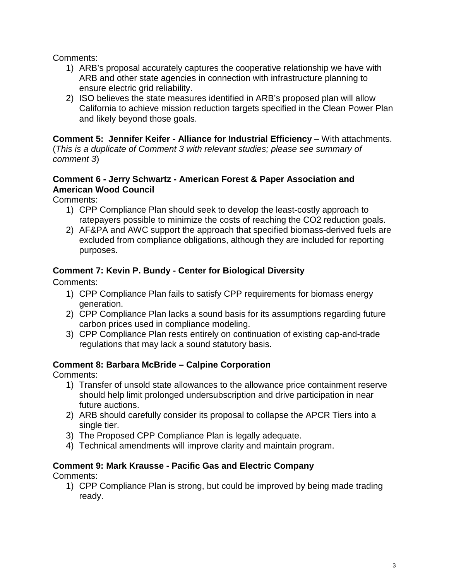Comments:

- 1) ARB's proposal accurately captures the cooperative relationship we have with ARB and other state agencies in connection with infrastructure planning to ensure electric grid reliability.
- 2) ISO believes the state measures identified in ARB's proposed plan will allow California to achieve mission reduction targets specified in the Clean Power Plan and likely beyond those goals.

**Comment 5: Jennifer Keifer - Alliance for Industrial Efficiency** – With attachments. (*This is a duplicate of Comment 3 with relevant studies; please see summary of comment 3*)

#### **Comment 6 - Jerry Schwartz - American Forest & Paper Association and American Wood Council**

Comments:

- 1) CPP Compliance Plan should seek to develop the least-costly approach to ratepayers possible to minimize the costs of reaching the CO2 reduction goals.
- 2) AF&PA and AWC support the approach that specified biomass-derived fuels are excluded from compliance obligations, although they are included for reporting purposes.

# **Comment 7: Kevin P. Bundy - Center for Biological Diversity**

Comments:

- 1) CPP Compliance Plan fails to satisfy CPP requirements for biomass energy generation.
- 2) CPP Compliance Plan lacks a sound basis for its assumptions regarding future carbon prices used in compliance modeling.
- 3) CPP Compliance Plan rests entirely on continuation of existing cap-and-trade regulations that may lack a sound statutory basis.

# **Comment 8: Barbara McBride – Calpine Corporation**

Comments:

- 1) Transfer of unsold state allowances to the allowance price containment reserve should help limit prolonged undersubscription and drive participation in near future auctions.
- 2) ARB should carefully consider its proposal to collapse the APCR Tiers into a single tier.
- 3) The Proposed CPP Compliance Plan is legally adequate.
- 4) Technical amendments will improve clarity and maintain program.

# **Comment 9: Mark Krausse - Pacific Gas and Electric Company**

Comments:

1) CPP Compliance Plan is strong, but could be improved by being made trading ready.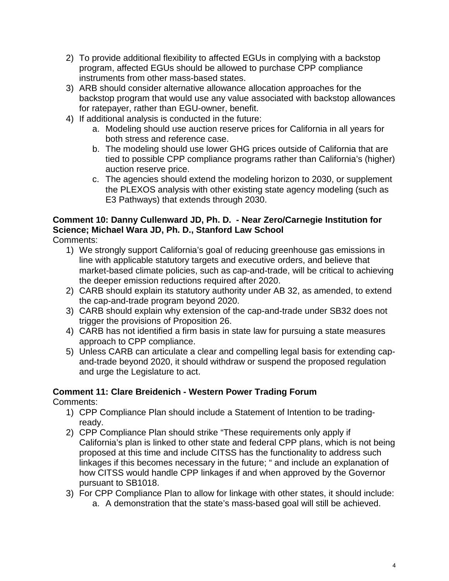- 2) To provide additional flexibility to affected EGUs in complying with a backstop program, affected EGUs should be allowed to purchase CPP compliance instruments from other mass-based states.
- 3) ARB should consider alternative allowance allocation approaches for the backstop program that would use any value associated with backstop allowances for ratepayer, rather than EGU-owner, benefit.
- 4) If additional analysis is conducted in the future:
	- a. Modeling should use auction reserve prices for California in all years for both stress and reference case.
	- b. The modeling should use lower GHG prices outside of California that are tied to possible CPP compliance programs rather than California's (higher) auction reserve price.
	- c. The agencies should extend the modeling horizon to 2030, or supplement the PLEXOS analysis with other existing state agency modeling (such as E3 Pathways) that extends through 2030.

# **Comment 10: Danny Cullenward JD, Ph. D. - Near Zero/Carnegie Institution for Science; Michael Wara JD, Ph. D., Stanford Law School**

Comments:

- 1) We strongly support California's goal of reducing greenhouse gas emissions in line with applicable statutory targets and executive orders, and believe that market-based climate policies, such as cap-and-trade, will be critical to achieving the deeper emission reductions required after 2020.
- 2) CARB should explain its statutory authority under AB 32, as amended, to extend the cap-and-trade program beyond 2020.
- 3) CARB should explain why extension of the cap-and-trade under SB32 does not trigger the provisions of Proposition 26.
- 4) CARB has not identified a firm basis in state law for pursuing a state measures approach to CPP compliance.
- 5) Unless CARB can articulate a clear and compelling legal basis for extending capand-trade beyond 2020, it should withdraw or suspend the proposed regulation and urge the Legislature to act.

# **Comment 11: Clare Breidenich - Western Power Trading Forum**

Comments:

- 1) CPP Compliance Plan should include a Statement of Intention to be tradingready.
- 2) CPP Compliance Plan should strike "These requirements only apply if California's plan is linked to other state and federal CPP plans, which is not being proposed at this time and include CITSS has the functionality to address such linkages if this becomes necessary in the future; " and include an explanation of how CITSS would handle CPP linkages if and when approved by the Governor pursuant to SB1018.
- 3) For CPP Compliance Plan to allow for linkage with other states, it should include: a. A demonstration that the state's mass-based goal will still be achieved.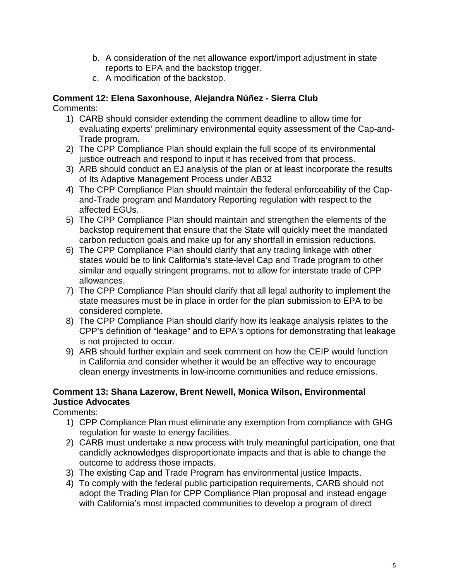- b. A consideration of the net allowance export/import adjustment in state reports to EPA and the backstop trigger.
- c. A modification of the backstop.

# **Comment 12: Elena Saxonhouse, Alejandra Núñez - Sierra Club**

Comments:

- 1) CARB should consider extending the comment deadline to allow time for evaluating experts' preliminary environmental equity assessment of the Cap-and-Trade program.
- 2) The CPP Compliance Plan should explain the full scope of its environmental justice outreach and respond to input it has received from that process.
- 3) ARB should conduct an EJ analysis of the plan or at least incorporate the results of Its Adaptive Management Process under AB32
- 4) The CPP Compliance Plan should maintain the federal enforceability of the Capand-Trade program and Mandatory Reporting regulation with respect to the affected EGUs.
- 5) The CPP Compliance Plan should maintain and strengthen the elements of the backstop requirement that ensure that the State will quickly meet the mandated carbon reduction goals and make up for any shortfall in emission reductions.
- 6) The CPP Compliance Plan should clarify that any trading linkage with other states would be to link California's state-level Cap and Trade program to other similar and equally stringent programs, not to allow for interstate trade of CPP allowances.
- 7) The CPP Compliance Plan should clarify that all legal authority to implement the state measures must be in place in order for the plan submission to EPA to be considered complete.
- 8) The CPP Compliance Plan should clarify how its leakage analysis relates to the CPP's definition of "leakage" and to EPA's options for demonstrating that leakage is not projected to occur.
- 9) ARB should further explain and seek comment on how the CEIP would function in California and consider whether it would be an effective way to encourage clean energy investments in low-income communities and reduce emissions.

#### **Comment 13: Shana Lazerow, Brent Newell, Monica Wilson, Environmental Justice Advocates**

Comments:

- 1) CPP Compliance Plan must eliminate any exemption from compliance with GHG regulation for waste to energy facilities.
- 2) CARB must undertake a new process with truly meaningful participation, one that candidly acknowledges disproportionate impacts and that is able to change the outcome to address those impacts.
- 3) The existing Cap and Trade Program has environmental justice Impacts.
- 4) To comply with the federal public participation requirements, CARB should not adopt the Trading Plan for CPP Compliance Plan proposal and instead engage with California's most impacted communities to develop a program of direct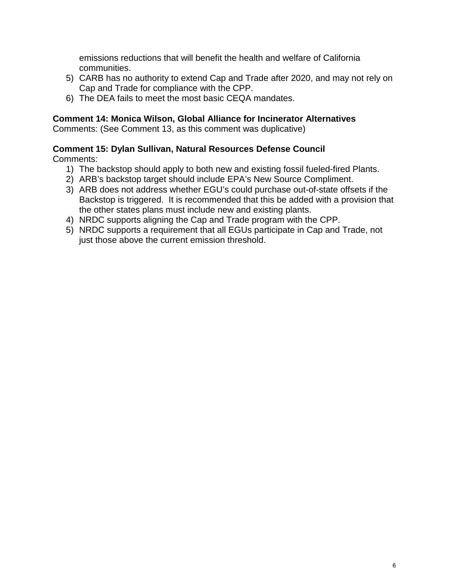emissions reductions that will benefit the health and welfare of California communities.

- 5) CARB has no authority to extend Cap and Trade after 2020, and may not rely on Cap and Trade for compliance with the CPP.
- 6) The DEA fails to meet the most basic CEQA mandates.

#### **Comment 14: Monica Wilson, Global Alliance for Incinerator Alternatives**

Comments: (See Comment 13, as this comment was duplicative)

#### **Comment 15: Dylan Sullivan, Natural Resources Defense Council**

Comments:

- 1) The backstop should apply to both new and existing fossil fueled-fired Plants.
- 2) ARB's backstop target should include EPA's New Source Compliment.
- 3) ARB does not address whether EGU's could purchase out-of-state offsets if the Backstop is triggered. It is recommended that this be added with a provision that the other states plans must include new and existing plants.
- 4) NRDC supports aligning the Cap and Trade program with the CPP.
- 5) NRDC supports a requirement that all EGUs participate in Cap and Trade, not just those above the current emission threshold.